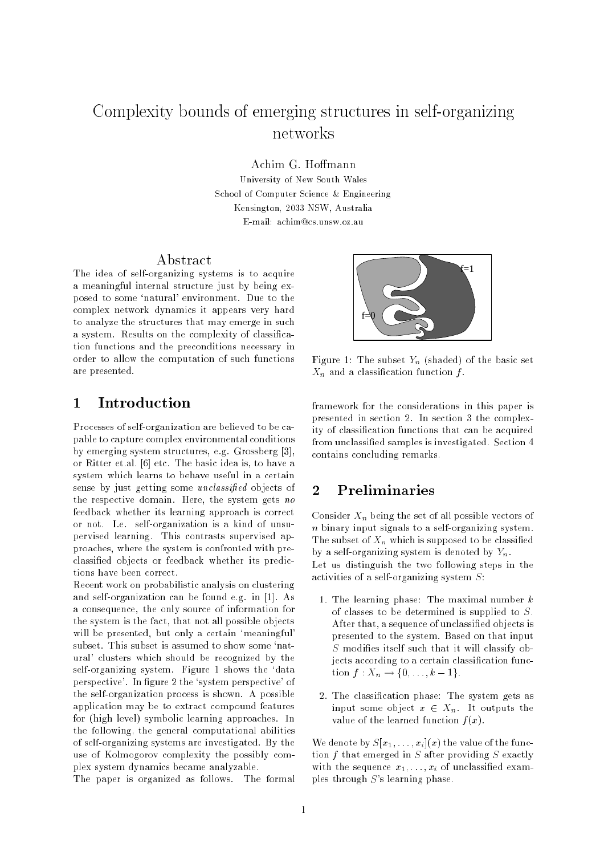# Complexity bounds of emerging structures in self-organizing

Achim G. Hoffmann

University of New South Wales School of Computer Science & Engineering Kensington, 2033 NSW, Australia E-mail: achim@cs.unsw.oz.au

#### Abstract

The idea of self-organizing systems is to acquire a meaningful internal structure just by being exposed to some `natural' environment. Due to the complex network dynamics it appears very hard to analyze the structures that may emerge in such a system. Results on the complexity of classication functions and the preconditions necessary in order to allow the computation of such functions are presented.



Processes of self-organization are believed to be capable to capture complex environmental conditions by emerging system structures, e.g. Grossberg [3], or Ritter et.al. [6] etc. The basic idea is, to have a system which learns to behave useful in a certain sense by just getting some *unclassified* objects of the respective domain. Here, the system gets no feedback whether its learning approach is correct or not. I.e. self-organization is a kind of unsupervised learning. This contrasts supervised approaches, where the system is confronted with preclassied objects or feedback whether its predictions have been correct.

Recent work on probabilistic analysis on clustering and self-organization can be found e.g. in [1]. As a consequence, the only source of information for the system is the fact, that not all possible objects will be presented, but only a certain 'meaningful' subset. This subset is assumed to show some 'natural' clusters which should be recognized by the self-organizing system. Figure 1 shows the `data perspective'. In figure 2 the 'system perspective' of the self-organization process is shown. A possible application may be to extract compound features for (high level) symbolic learning approaches. In the following, the general computational abilities of self-organizing systems are investigated. By the use of Kolmogorov complexity the possibly complex system dynamics became analyzable.

The paper is organized as follows. The formal



Figure 1: The subset  $Y_n$  (shaded) of the basic set  $X_n$  and a classification function f.

framework for the considerations in this paper is presented in section 2. In section 3 the complexity of classication functions that can be acquired from unclassied samples is investigated. Section 4 contains concluding remarks.

#### 2Preliminaries

Consider  $X_n$  being the set of all possible vectors of  $n$  binary input signals to a self-organizing system. The subset of  $X_n$  which is supposed to be classified by a self-organizing system is denoted by  $Y_n$ . Let us distinguish the two following steps in the activities of a self-organizing system S:

- 1. The learning phase: The maximal number  $k$ of classes to be determined is supplied to S. After that, a sequence of unclassied objects is presented to the system. Based on that input  $S$  modifies itself such that it will classify objects according to a certain classification function  $f: X_n \to \{0, \ldots, k-1\}.$
- 2. The classication phase: The system gets as input some object  $x \in X_n$ . It outputs the value of the learned function  $f(x)$ .

We denote by  $S[x_1, \ldots, x_i](x)$  the value of the function  $f$  that emerged in  $S$  after providing  $S$  exactly with the sequence  $x_1, \ldots, x_i$  of unclassified examples through <sup>S</sup>'s learning phase.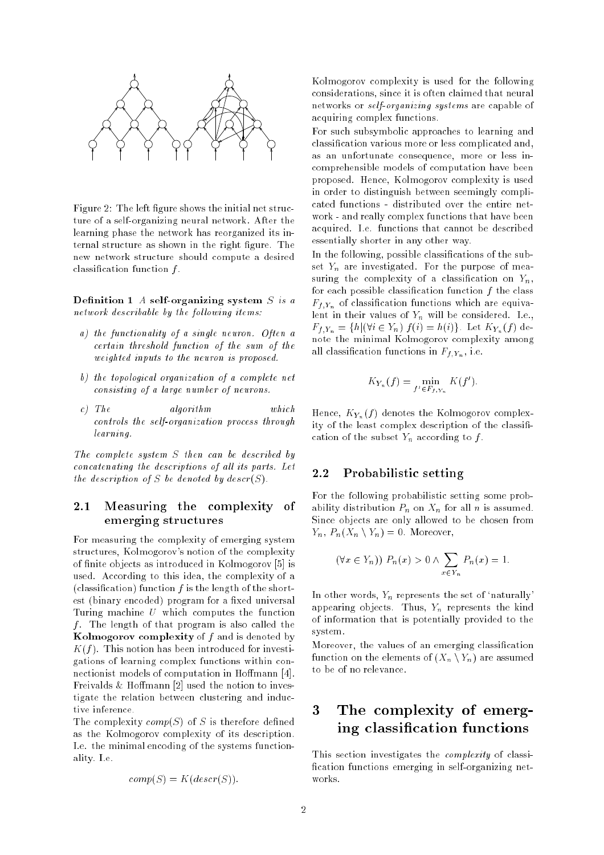

Figure 2: The left figure shows the initial net structure of a self-organizing neural network. After the learning phase the network has reorganized its internal structure as shown in the right figure. The new network structure should compute a desired classification function  $f$ .

Definition 1  $A$  self-organizing system  $S$  is a network describable by the following items:

- a) the functionality of a single neuron. Often a certain threshold function of the sum of the weighted inputs to the neuron is proposed.
- b) the topological organization of a complete net consisting of a large number of neurons.
- c) The algorithm  $which$ controls the self-organization process through learning.

The complete system <sup>S</sup> then can be described by concatenating the descriptions of all its parts. Let the description of S be denoted by  $descr(S)$ .

### 2.1 Measuring the complexity of emerging structures

For measuring the complexity of emerging system structures, Kolmogorov's notion of the complexity of finite objects as introduced in Kolmogorov [5] is used. According to this idea, the complexity of a (classification) function  $f$  is the length of the shortest (binary encoded) program for a fixed universal Turing machine <sup>U</sup> which computes the function f. The length of that program is also called the Kolmogorov complexity of  $f$  and is denoted by  $K(f)$ . This notion has been introduced for investigations of learning complex functions within connectionist models of computation in Hoffmann [4]. Freivalds  $&$  Hoffmann [2] used the notion to investigate the relation between clustering and inductive inference.

The complexity  $comp(S)$  of S is therefore defined as the Kolmogorov complexity of its description. I.e. the minimal encoding of the systems functionality. I.e.

$$
comp(S) = K(deg(S)).
$$

Kolmogorov complexity is used for the following considerations, since it is often claimed that neural networks or self-organizing systems are capable of acquiring complex functions.

For such subsymbolic approaches to learning and classication various more or less complicated and, as an unfortunate consequence, more or less incomprehensible models of computation have been proposed. Hence, Kolmogorov complexity is used in order to distinguish between seemingly complicated functions - distributed over the entire network - and really complex functions that have been acquired. I.e. functions that cannot be described essentially shorter in any other way.

In the following, possible classications of the subset  $Y_n$  are investigated. For the purpose of measuring the complexity of a classification on  $Y_n$ , for each possible classification function  $f$  the class  $F_{f,Y_n}$  of classification functions which are equivalent in their values of  $Y_n$  will be considered. I.e.,  $F_{f_iY_n} = \{h | (\forall i \in Y_n) f(i) = h(i)\}.$  Let  $K_{Y_n}(f)$  denote the minimal Kolmogorov complexity among all classification functions in  $F_{f_1Y_n}$ , i.e.

$$
K_{Y_n}(f) = \min_{f' \in F_{f,Y_n}} K(f').
$$

Hence,  $K_{Y_n}(f)$  denotes the Kolmogorov complexity of the least complex description of the classification of the subset  $Y_n$  according to  $f$ .

#### 2.2 Probabilistic setting

For the following probabilistic setting some probability distribution  $P_n$  on  $X_n$  for all n is assumed. Since objects are only allowed to be chosen from  $Y_n$ ,  $P_n(X_n \setminus Y_n) = 0$ . Moreover,

$$
(\forall x \in Y_n)) P_n(x) > 0 \land \sum_{x \in Y_n} P_n(x) = 1.
$$

In other words,  $Y_n$  represents the set of 'naturally' appearing objects. Thus,  $Y_n$  represents the kind of information that is potentially provided to the system.

Moreover, the values of an emerging classication function on the elements of  $(X_n \ Y_n)$  are assumed to be of no relevance.

#### 3 The complexity of emerging classication functions

This section investigates the complexity of classi fication functions emerging in self-organizing networks.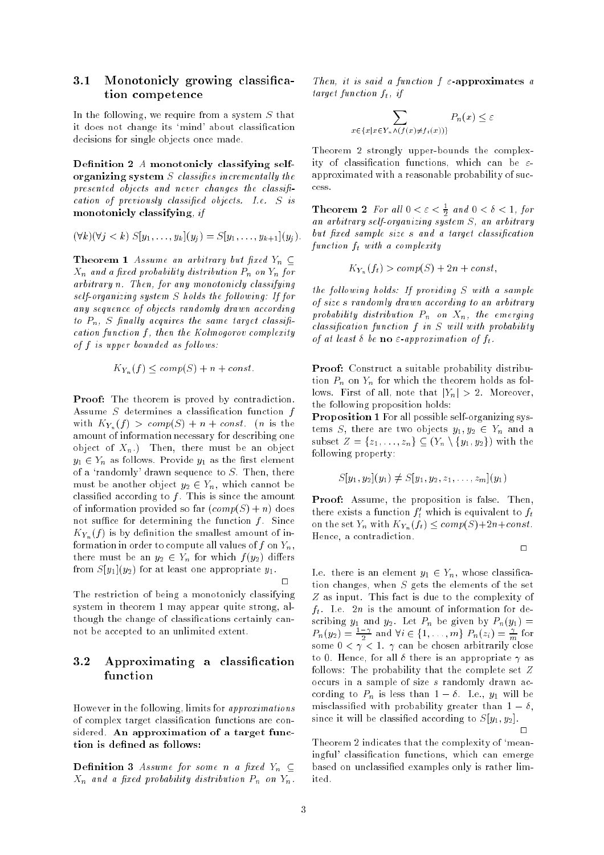### 3.1 Monotonicly growing classification competence

In the following, we require from a system  $S$  that it does not change its 'mind' about classification decisions for single objects once made.

Definition 2  $A$  monotonicly classifying selforganizing system  $S$  classifies incrementally the presented objects and never changes the classification of previously classied objects. I.e. <sup>S</sup> is monotonicly classifying, if

$$
(\forall k)(\forall j < k) S[y_1, \ldots, y_k](y_j) = S[y_1, \ldots, y_{k+1}](y_j).
$$

**Theorem 1** Assume an arbitrary but fixed  $Y_n \subseteq$  $X_n$  and a fixed probability distribution  $P_n$  on  $Y_n$  for arbitrary n. Then, for any monotonicly classifying self-organizing system  $S$  holds the following: If for any sequence of objects randomly drawn according to  $P_n$ , S finally acquires the same target classification function  $f$ , then the Kolmogorov complexity of  $f$  is upper bounded as follows.

$$
K_{Y_n}(f) \le \operatorname{comp}(S) + n + \operatorname{const.}
$$

Proof: The theorem is proved by contradiction. Assume  $S$  determines a classification function  $f$ with  $K_{Y_n}(f) > comp(S) + n + const.$  (*n* is the amount of information necessary for describing one object of  $X_n$ .) Then, there must be an object  $y_1 \in Y_n$  as follows. Provide  $y_1$  as the first element of a 'randomly' drawn sequence to  $S$ . Then, there must be another object  $y_2 \in Y_n$ , which cannot be classified according to  $f$ . This is since the amount of information provided so far  $(\text{comp}(S) + n)$  does not suffice for determining the function  $f$ . Since  $K_{Y_n}(f)$  is by definition the smallest amount of information in order to compute all values of f on  $Y_n$ , there must be an  $y_2 \in Y_n$  for which  $f(y_2)$  differs from  $S[y_1](y_2)$  for at least one appropriate  $y_1$ .

The restriction of being a monotonicly classifying system in theorem 1 may appear quite strong, although the change of classifications certainly cannot be accepted to an unlimited extent.

## 3.2 Approximating a classication function

However in the following, limits for approximations of complex target classication functions are considered. An approximation of a target function is defined as follows:

**Definition 3** Assume for some n a fixed  $Y_n \subseteq$  $X_n$  and a fixed probability distribution  $P_n$  on  $Y_n$ .

Then, it is said a function  $f \in \text{approximates } a$ target function  $f_t$ , if

$$
\sum_{x \in \{x \mid x \in Y_n \land (f(x) \neq f_t(x))\}} P_n(x) \leq \varepsilon
$$

Theorem 2 strongly upper-bounds the complexity of classification functions, which can be  $\varepsilon$ approximated with a reasonable probability of success.

**Theorem 2** for all  $0 < \varepsilon < \frac{1}{2}$  and  $0 < \varepsilon < 1$ , for an arbitrary self-organizing system S, an arbitrary but fixed sample size s and a target classification function  $f_t$  with a complexity

$$
K_{Y_n}(f_t) > comp(S) + 2n + const,
$$

the following holds: If providing  $S$  with a sample of size <sup>s</sup> randomly drawn according to an arbitrary probability distribution  $P_n$  on  $X_n$ , the emerging  $classification\ function\ f\ in\ S\ will\ with\ probability$ of at least  $\delta$  be **no**  $\varepsilon$ -approximation of  $f_t$ .

Proof: Construct a suitable probability distribution  $P_n$  on  $Y_n$  for which the theorem holds as follows. First of all, note that  $|Y_n| > 2$ . Moreover, the following proposition holds:

Proposition 1 For all possible self-organizing systems S, there are two objects  $y_1, y_2 \in Y_n$  and a subset  $Z = \{z_1, \ldots, z_n\} \subseteq (Y_n \setminus \{y_1, y_2\})$  with the following property:

$$
S[y_1, y_2](y_1) \neq S[y_1, y_2, z_1, \ldots, z_m](y_1)
$$

Proof: Assume, the proposition is false. Then, there exists a function  $\boldsymbol{f}_t$  which is equivalent to  $\boldsymbol{f}_t$ on the set  $Y_n$  with  $K_{Y_n}(f_t) \leq \text{comp}(S) + 2n + \text{const.}$ Hence, a contradiction.

$$
\qquad \qquad \Box
$$

I.e. there is an element  $y_1 \in Y_n$ , whose classification changes, when  $S$  gets the elements of the set <sup>Z</sup> as input. This fact is due to the complexity of  $f_t$ . I.e.  $2n$  is the amount of information for de- $P_n(y_2) = \frac{1-\gamma}{2}$  and  $\forall i \in \{1, ..., m\}$   $P_n(z_i) = \frac{\gamma}{m}$  for some  $0 < \gamma < 1$ .  $\gamma$  can be chosen arbitrarily close to 0. Hence, for all  $\delta$  there is an appropriate  $\gamma$  as follows: The probability that the complete set  $Z$ occurs in a sample of size <sup>s</sup> randomly drawn according to  $P_n$  is less than  $1 - \delta$ . I.e.,  $y_1$  will be misclassified with probability greater than  $1 - \delta$ . since it will be classified according to  $S[y_1, y_2]$ .  $\Box$ 

Theorem 2 indicates that the complexity of `meaningful' classication functions, which can emerge based on unclassied examples only is rather limited.